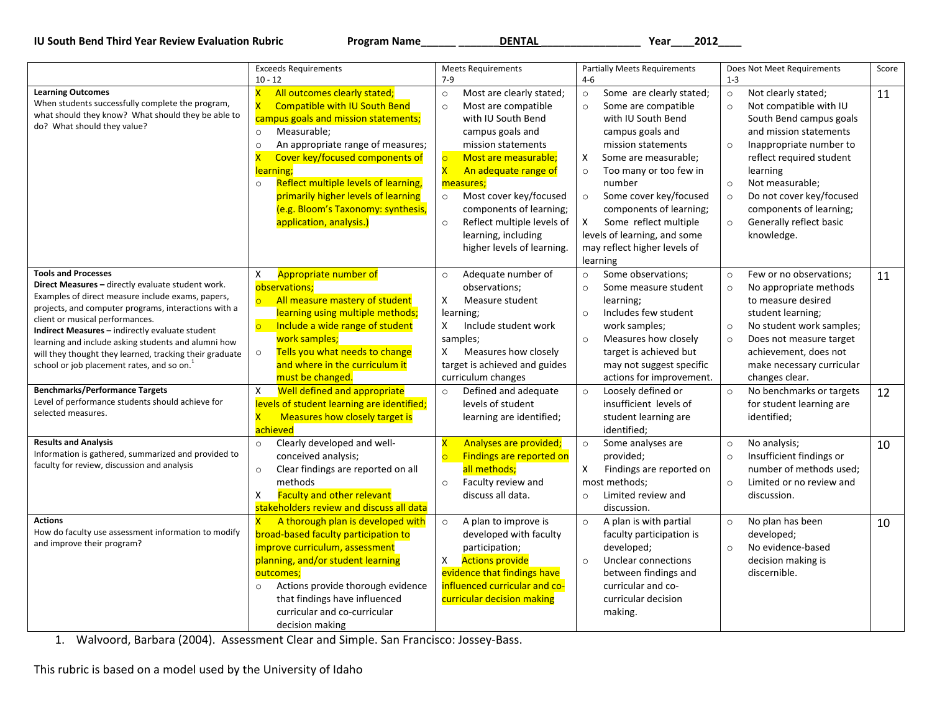**IU South Bend Third Year Review Evaluation Rubric Program Name\_\_\_\_\_\_ \_\_\_\_\_\_\_DENTAL \_\_\_\_\_\_\_\_\_\_\_\_\_\_\_\_\_ Year\_\_\_\_2012\_\_\_\_**

|                                                                                                                                                                                                                                                                                                                                                                                                                                                                                                                                                                                   | <b>Exceeds Requirements</b>                                                                                                                                                                                                                                                                                                                                                                                                                                                        | <b>Meets Requirements</b>                                                                                                                                                                                                                                                                                                                                                                              | <b>Partially Meets Requirements</b>                                                                                                                                                                                                                                                                                                                                                         | Does Not Meet Requirements                                                                                                                                                                                                                                                                                                                                 | Score    |
|-----------------------------------------------------------------------------------------------------------------------------------------------------------------------------------------------------------------------------------------------------------------------------------------------------------------------------------------------------------------------------------------------------------------------------------------------------------------------------------------------------------------------------------------------------------------------------------|------------------------------------------------------------------------------------------------------------------------------------------------------------------------------------------------------------------------------------------------------------------------------------------------------------------------------------------------------------------------------------------------------------------------------------------------------------------------------------|--------------------------------------------------------------------------------------------------------------------------------------------------------------------------------------------------------------------------------------------------------------------------------------------------------------------------------------------------------------------------------------------------------|---------------------------------------------------------------------------------------------------------------------------------------------------------------------------------------------------------------------------------------------------------------------------------------------------------------------------------------------------------------------------------------------|------------------------------------------------------------------------------------------------------------------------------------------------------------------------------------------------------------------------------------------------------------------------------------------------------------------------------------------------------------|----------|
|                                                                                                                                                                                                                                                                                                                                                                                                                                                                                                                                                                                   | $10 - 12$                                                                                                                                                                                                                                                                                                                                                                                                                                                                          | $7-9$                                                                                                                                                                                                                                                                                                                                                                                                  | $4 - 6$                                                                                                                                                                                                                                                                                                                                                                                     | $1 - 3$                                                                                                                                                                                                                                                                                                                                                    |          |
| <b>Learning Outcomes</b><br>When students successfully complete the program,<br>what should they know? What should they be able to<br>do? What should they value?                                                                                                                                                                                                                                                                                                                                                                                                                 | $\overline{\mathsf{x}}$<br>All outcomes clearly stated;<br><b>Compatible with IU South Bend</b><br>$\overline{\mathsf{x}}$<br>campus goals and mission statements;<br>Measurable;<br>$\circ$<br>An appropriate range of measures;<br>$\circ$<br>$\overline{\mathsf{x}}$<br>Cover key/focused components of<br>learning;<br>Reflect multiple levels of learning,<br>$\circ$<br>primarily higher levels of learning<br>(e.g. Bloom's Taxonomy: synthesis,<br>application, analysis.) | $\circ$<br>Most are clearly stated;<br>Most are compatible<br>$\circ$<br>with IU South Bend<br>campus goals and<br>mission statements<br>$\circ$<br>Most are measurable;<br>$\overline{\mathsf{x}}$<br>An adequate range of<br>measures;<br>Most cover key/focused<br>$\circ$<br>components of learning;<br>Reflect multiple levels of<br>$\circ$<br>learning, including<br>higher levels of learning. | Some are clearly stated;<br>$\circ$<br>Some are compatible<br>$\circ$<br>with IU South Bend<br>campus goals and<br>mission statements<br>Χ<br>Some are measurable;<br>Too many or too few in<br>$\circ$<br>number<br>Some cover key/focused<br>$\circ$<br>components of learning;<br>Some reflect multiple<br>X<br>levels of learning, and some<br>may reflect higher levels of<br>learning | Not clearly stated;<br>$\circ$<br>Not compatible with IU<br>$\circ$<br>South Bend campus goals<br>and mission statements<br>Inappropriate number to<br>$\circ$<br>reflect required student<br>learning<br>Not measurable;<br>$\circ$<br>Do not cover key/focused<br>$\circ$<br>components of learning;<br>Generally reflect basic<br>$\circ$<br>knowledge. | 11       |
| <b>Tools and Processes</b><br>Direct Measures - directly evaluate student work.<br>Examples of direct measure include exams, papers,<br>projects, and computer programs, interactions with a<br>client or musical performances.<br>Indirect Measures - indirectly evaluate student<br>learning and include asking students and alumni how<br>will they thought they learned, tracking their graduate<br>school or job placement rates, and so on. <sup>1</sup><br><b>Benchmarks/Performance Targets</b><br>Level of performance students should achieve for<br>selected measures. | Appropriate number of<br>X<br>observations;<br>All measure mastery of student<br>$\overline{\circ}$<br>learning using multiple methods;<br>$\circ$<br>Include a wide range of student<br>work samples;<br>Tells you what needs to change<br>$\circ$<br>and where in the curriculum it<br>must be changed.<br>Well defined and appropriate<br>X<br>levels of student learning are identified;<br>$\overline{\mathsf{x}}$<br>Measures how closely target is                          | Adequate number of<br>$\circ$<br>observations;<br>X<br>Measure student<br>learning;<br>Include student work<br>X<br>samples;<br>X<br>Measures how closely<br>target is achieved and guides<br>curriculum changes<br>Defined and adequate<br>$\circ$<br>levels of student<br>learning are identified;                                                                                                   | Some observations;<br>$\circ$<br>Some measure student<br>$\circ$<br>learning;<br>Includes few student<br>$\circ$<br>work samples;<br>Measures how closely<br>$\circ$<br>target is achieved but<br>may not suggest specific<br>actions for improvement.<br>Loosely defined or<br>$\circ$<br>insufficient levels of<br>student learning are                                                   | Few or no observations;<br>$\circ$<br>No appropriate methods<br>$\circ$<br>to measure desired<br>student learning;<br>No student work samples;<br>$\circ$<br>Does not measure target<br>$\circ$<br>achievement, does not<br>make necessary curricular<br>changes clear.<br>No benchmarks or targets<br>$\circ$<br>for student learning are<br>identified;  | 11<br>12 |
| <b>Results and Analysis</b><br>Information is gathered, summarized and provided to<br>faculty for review, discussion and analysis                                                                                                                                                                                                                                                                                                                                                                                                                                                 | achieved<br>Clearly developed and well-<br>$\circ$<br>conceived analysis;<br>Clear findings are reported on all<br>$\circ$<br>methods<br>$\pmb{\mathsf{X}}$<br><b>Faculty and other relevant</b><br>stakeholders review and discuss all data                                                                                                                                                                                                                                       | $\overline{\mathsf{x}}$<br>Analyses are provided;<br>Findings are reported on<br>$\circ$<br>all methods;<br>Faculty review and<br>$\circ$<br>discuss all data.                                                                                                                                                                                                                                         | identified;<br>$\circ$<br>Some analyses are<br>provided;<br>Findings are reported on<br>X<br>most methods;<br>Limited review and<br>$\circ$<br>discussion.                                                                                                                                                                                                                                  | No analysis;<br>$\circ$<br>Insufficient findings or<br>$\circ$<br>number of methods used;<br>Limited or no review and<br>$\circ$<br>discussion.                                                                                                                                                                                                            | 10       |
| <b>Actions</b><br>How do faculty use assessment information to modify<br>and improve their program?                                                                                                                                                                                                                                                                                                                                                                                                                                                                               | $\overline{\mathsf{x}}$<br>A thorough plan is developed with<br>broad-based faculty participation to<br>improve curriculum, assessment<br>planning, and/or student learning<br>outcomes;<br>Actions provide thorough evidence<br>$\circ$<br>that findings have influenced<br>curricular and co-curricular<br>decision making                                                                                                                                                       | A plan to improve is<br>$\circ$<br>developed with faculty<br>participation;<br>X<br><b>Actions provide</b><br>evidence that findings have<br>influenced curricular and co-<br>curricular decision making                                                                                                                                                                                               | A plan is with partial<br>$\circ$<br>faculty participation is<br>developed;<br>Unclear connections<br>$\circ$<br>between findings and<br>curricular and co-<br>curricular decision<br>making.                                                                                                                                                                                               | No plan has been<br>$\circ$<br>developed;<br>No evidence-based<br>$\circ$<br>decision making is<br>discernible.                                                                                                                                                                                                                                            | 10       |

1. Walvoord, Barbara (2004). Assessment Clear and Simple. San Francisco: Jossey‐Bass.

This rubric is based on a model used by the University of Idaho